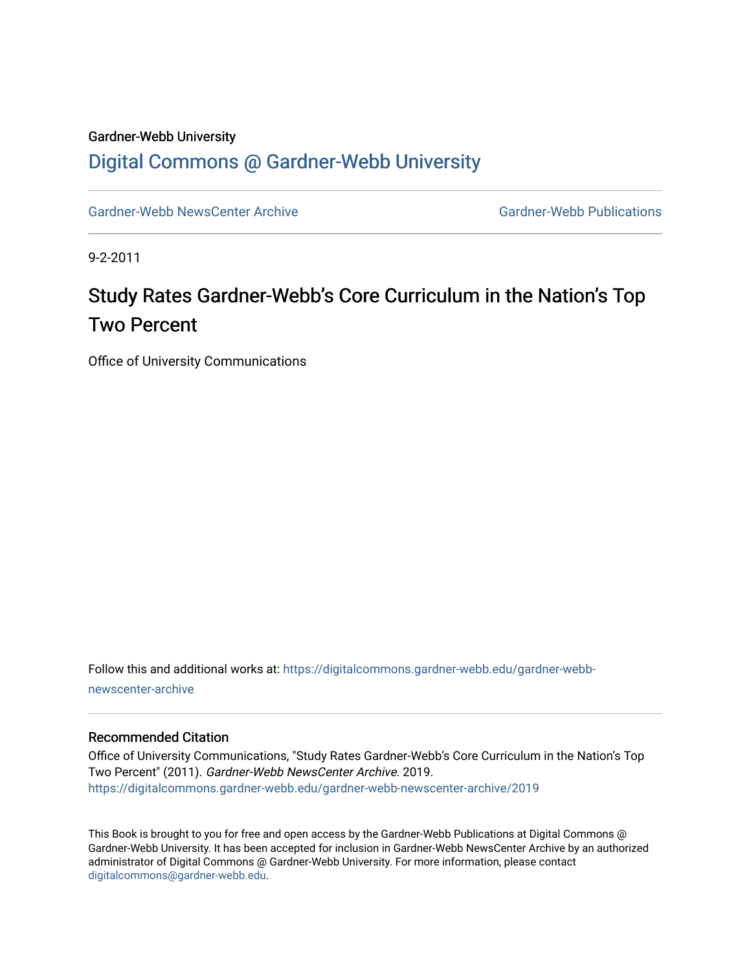## Gardner-Webb University [Digital Commons @ Gardner-Webb University](https://digitalcommons.gardner-webb.edu/)

[Gardner-Webb NewsCenter Archive](https://digitalcommons.gardner-webb.edu/gardner-webb-newscenter-archive) Gardner-Webb Publications

9-2-2011

## Study Rates Gardner-Webb's Core Curriculum in the Nation's Top Two Percent

Office of University Communications

Follow this and additional works at: [https://digitalcommons.gardner-webb.edu/gardner-webb](https://digitalcommons.gardner-webb.edu/gardner-webb-newscenter-archive?utm_source=digitalcommons.gardner-webb.edu%2Fgardner-webb-newscenter-archive%2F2019&utm_medium=PDF&utm_campaign=PDFCoverPages)[newscenter-archive](https://digitalcommons.gardner-webb.edu/gardner-webb-newscenter-archive?utm_source=digitalcommons.gardner-webb.edu%2Fgardner-webb-newscenter-archive%2F2019&utm_medium=PDF&utm_campaign=PDFCoverPages)

## Recommended Citation

Office of University Communications, "Study Rates Gardner-Webb's Core Curriculum in the Nation's Top Two Percent" (2011). Gardner-Webb NewsCenter Archive. 2019. [https://digitalcommons.gardner-webb.edu/gardner-webb-newscenter-archive/2019](https://digitalcommons.gardner-webb.edu/gardner-webb-newscenter-archive/2019?utm_source=digitalcommons.gardner-webb.edu%2Fgardner-webb-newscenter-archive%2F2019&utm_medium=PDF&utm_campaign=PDFCoverPages) 

This Book is brought to you for free and open access by the Gardner-Webb Publications at Digital Commons @ Gardner-Webb University. It has been accepted for inclusion in Gardner-Webb NewsCenter Archive by an authorized administrator of Digital Commons @ Gardner-Webb University. For more information, please contact [digitalcommons@gardner-webb.edu](mailto:digitalcommons@gardner-webb.edu).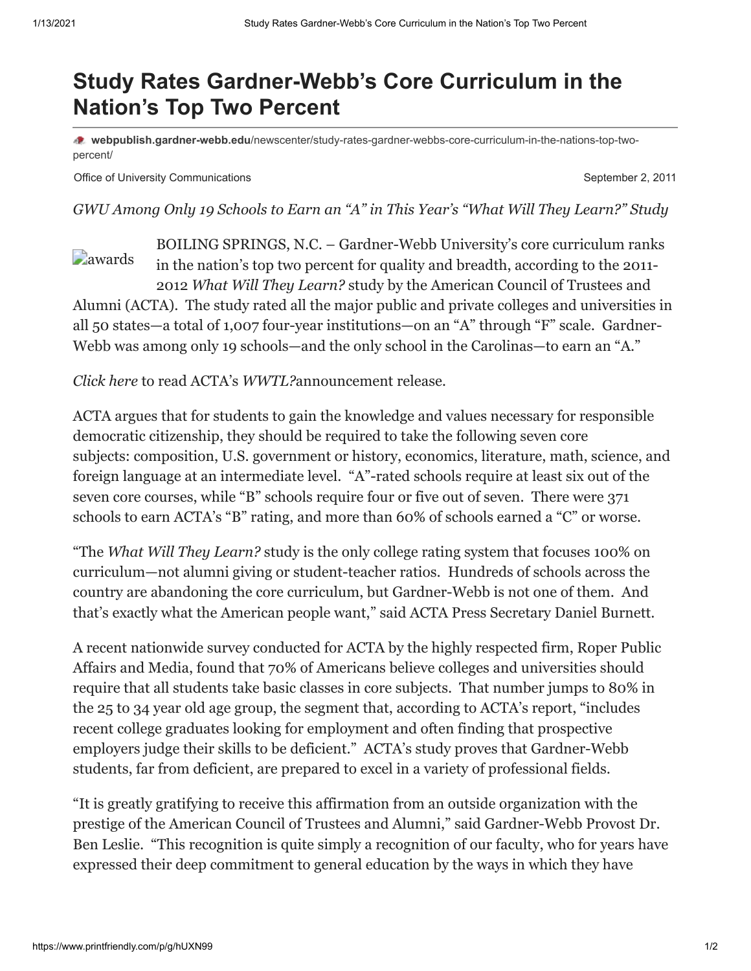## **Study Rates Gardner-Webb's Core Curriculum in the Nation's Top Two Percent**

**webpublish.gardner-webb.edu**[/newscenter/study-rates-gardner-webbs-core-curriculum-in-the-nations-top-two](https://webpublish.gardner-webb.edu/newscenter/study-rates-gardner-webbs-core-curriculum-in-the-nations-top-two-percent/)percent/

Office of University Communications **September 2, 2011** September 2, 2011

*GWU Among Only 19 Schools to Earn an "A" in This Year's "What Will They Learn?" Study*

*<u></u>* [awards](http://152.44.63.252/newscenter/?attachment_id=950) BOILING SPRINGS, N.C. – Gardner-Webb University's core curriculum ranks in the nation's top two percent for quality and breadth, according to the 2011- 2012 *[What Will They Learn?](http://whatwilltheylearn.com/)* study by the American Council of Trustees and Alumni (ACTA). The study rated all the major public and private colleges and universities in all 50 states—a total of 1,007 four-year institutions—on an "A" through "F" scale. Gardner-Webb was [among only 19 schools—](http://whatwilltheylearn.com/a-list)and the only school in the Carolinas—to earn an "A."

*[Click here](http://www.gardner-webb.edu/press/archives/september-2011/WWTL_PressRelease.pdf)* to read ACTA's *WWTL?*announcement release*.*

ACTA argues that for students to gain the knowledge and values necessary for responsible democratic citizenship, they should be required to take the following seven core [subjects: composition, U.S. government or history, economics, literature, math, science, and](http://whatwilltheylearn.com/criteria) foreign language at an intermediate level. "A"-rated schools require at least six out of the seven core courses, while "B" schools require four or five out of seven. There were 371 schools to earn ACTA's "B" rating, and more than 60% of schools earned a "C" or worse.

"The *What Will They Learn?* study is the only college rating system that focuses 100% on curriculum—not alumni giving or student-teacher ratios. Hundreds of schools across the country are abandoning the core curriculum, but Gardner-Webb is not one of them. And that's exactly what the American people want," said ACTA Press Secretary Daniel Burnett.

[A recent nationwide survey](http://www.gardner-webb.edu/press/archives/september-2011/WWTL_RoperSurvey.pdf) conducted for ACTA by the highly respected firm, Roper Public Affairs and Media, found that 70% of Americans believe colleges and universities should require that all students take basic classes in core subjects. That number jumps to 80% in the 25 to 34 year old age group, the segment that, according to ACTA's report, "includes recent college graduates looking for employment and often finding that prospective employers judge their skills to be deficient." ACTA's study proves that Gardner-Webb students, far from deficient, are prepared to excel in a variety of professional fields.

"It is greatly gratifying to receive this affirmation from an outside organization with the prestige of the American Council of Trustees and Alumni," said Gardner-Webb Provost Dr. Ben Leslie. "This recognition is quite simply a recognition of our faculty, who for years have expressed their deep commitment to general education by the ways in which they have